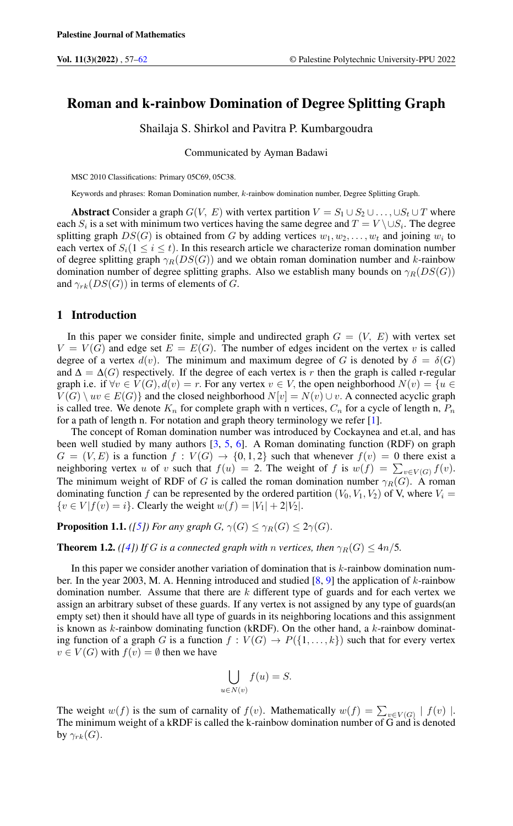# Roman and k-rainbow Domination of Degree Splitting Graph

Shailaja S. Shirkol and Pavitra P. Kumbargoudra

Communicated by Ayman Badawi

MSC 2010 Classifications: Primary 05C69, 05C38.

Keywords and phrases: Roman Domination number, k-rainbow domination number, Degree Splitting Graph.

Abstract Consider a graph  $G(V, E)$  with vertex partition  $V = S_1 \cup S_2 \cup \ldots \cup S_t \cup T$  where each  $S_i$  is a set with minimum two vertices having the same degree and  $T = V \setminus \cup S_i$ . The degree splitting graph  $DS(G)$  is obtained from G by adding vertices  $w_1, w_2, \ldots, w_t$  and joining  $w_i$  to each vertex of  $S_i(1 \leq i \leq t)$ . In this research article we characterize roman domination number of degree splitting graph  $\gamma_R(DS(G))$  and we obtain roman domination number and k-rainbow domination number of degree splitting graphs. Also we establish many bounds on  $\gamma_R(DS(G))$ and  $\gamma_{rk}(DS(G))$  in terms of elements of G.

#### 1 Introduction

In this paper we consider finite, simple and undirected graph  $G = (V, E)$  with vertex set  $V = V(G)$  and edge set  $E = E(G)$ . The number of edges incident on the vertex v is called degree of a vertex  $d(v)$ . The minimum and maximum degree of G is denoted by  $\delta = \delta(G)$ and  $\Delta = \Delta(G)$  respectively. If the degree of each vertex is r then the graph is called r-regular graph i.e. if  $\forall v \in V(G)$ ,  $d(v) = r$ . For any vertex  $v \in V$ , the open neighborhood  $N(v) = \{u \in V(G) \mid v \in V(G)\}$  $V(G) \setminus uv \in E(G)$  and the closed neighborhood  $N[v] = N(v) \cup v$ . A connected acyclic graph is called tree. We denote  $K_n$  for complete graph with n vertices,  $C_n$  for a cycle of length n,  $P_n$ for a path of length n. For notation and graph theory terminology we refer [\[1\]](#page-5-1).

The concept of Roman domination number was introduced by Cockaynea and et.al, and has been well studied by many authors  $[3, 5, 6]$  $[3, 5, 6]$  $[3, 5, 6]$  $[3, 5, 6]$  $[3, 5, 6]$ . A Roman dominating function (RDF) on graph  $G = (V, E)$  is a function  $f : V(G) \rightarrow \{0, 1, 2\}$  such that whenever  $f(v) = 0$  there exist a neighboring vertex u of v such that  $f(u) = 2$ . The weight of f is  $w(f) = \sum_{v \in V(G)} f(v)$ . The minimum weight of RDF of G is called the roman domination number  $\gamma_R(G)$ . A roman dominating function f can be represented by the ordered partition  $(V_0, V_1, V_2)$  of V, where  $V_i$  =  ${v \in V | f(v) = i}.$  Clearly the weight  $w(f) = |V_1| + 2|V_2|$ .

**Proposition 1.1.** *(*[\[5\]](#page-5-3)*)* For any graph  $G$ ,  $\gamma(G) \leq \gamma_R(G) \leq 2\gamma(G)$ .

**Theorem 1.2.** *(*[\[4\]](#page-5-5)*)* If G is a connected graph with n vertices, then  $\gamma_R(G) \leq 4n/5$ .

In this paper we consider another variation of domination that is  $k$ -rainbow domination number. In the year 2003, M. A. Henning introduced and studied  $[8, 9]$  $[8, 9]$  $[8, 9]$  the application of k-rainbow domination number. Assume that there are  $k$  different type of guards and for each vertex we assign an arbitrary subset of these guards. If any vertex is not assigned by any type of guards(an empty set) then it should have all type of guards in its neighboring locations and this assignment is known as  $k$ -rainbow dominating function (kRDF). On the other hand, a  $k$ -rainbow dominating function of a graph G is a function  $f: V(G) \to P({1, \ldots, k})$  such that for every vertex  $v \in V(G)$  with  $f(v) = \emptyset$  then we have

$$
\bigcup_{u \in N(v)} f(u) = S.
$$

The weight  $w(f)$  is the sum of carnality of  $f(v)$ . Mathematically  $w(f) = \sum_{v \in V(G)} |f(v)|$ . The minimum weight of a kRDF is called the k-rainbow domination number of G and is denoted by  $\gamma_{rk}(G)$ .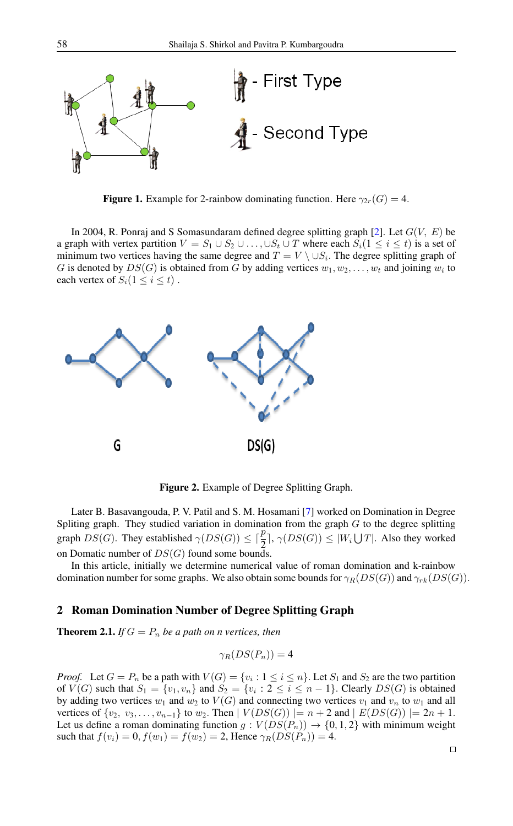

**Figure 1.** Example for 2-rainbow dominating function. Here  $\gamma_{2r}(G) = 4$ .

In 2004, R. Ponraj and S Somasundaram defined degree splitting graph [\[2\]](#page-5-8). Let  $G(V, E)$  be a graph with vertex partition  $V = S_1 \cup S_2 \cup \ldots \cup S_t \cup T$  where each  $S_i (1 \leq i \leq t)$  is a set of minimum two vertices having the same degree and  $T = V \setminus \cup S_i$ . The degree splitting graph of G is denoted by  $DS(G)$  is obtained from G by adding vertices  $w_1, w_2, \ldots, w_t$  and joining  $w_i$  to each vertex of  $S_i(1 \leq i \leq t)$ .



Figure 2. Example of Degree Splitting Graph.

Later B. Basavangouda, P. V. Patil and S. M. Hosamani [\[7\]](#page-5-9) worked on Domination in Degree Spliting graph. They studied variation in domination from the graph  $G$  to the degree splitting graph  $DS(G)$ . They established  $\gamma(DS(G)) \leq \lceil \frac{p}{2} \rceil$ ,  $\gamma(DS(G)) \leq |W_i \bigcup T|$ . Also they worked on Domatic number of  $DS(G)$  found some bounds.

In this article, initially we determine numerical value of roman domination and k-rainbow domination number for some graphs. We also obtain some bounds for  $\gamma_R(DS(G))$  and  $\gamma_{rk}(DS(G))$ .

#### 2 Roman Domination Number of Degree Splitting Graph

**Theorem 2.1.** *If*  $G = P_n$  *be a path on n vertices, then* 

$$
\gamma_R(DS(P_n))=4
$$

*Proof.* Let  $G = P_n$  be a path with  $V(G) = \{v_i : 1 \le i \le n\}$ . Let  $S_1$  and  $S_2$  are the two partition of  $V(G)$  such that  $S_1 = \{v_1, v_n\}$  and  $S_2 = \{v_i : 2 \le i \le n-1\}$ . Clearly  $DS(G)$  is obtained by adding two vertices  $w_1$  and  $w_2$  to  $V(G)$  and connecting two vertices  $v_1$  and  $v_n$  to  $w_1$  and all vertices of  $\{v_2, v_3, \ldots, v_{n-1}\}$  to  $w_2$ . Then  $|V(DS(G))| = n + 2$  and  $|E(DS(G))| = 2n + 1$ . Let us define a roman dominating function  $g: V(DS(P_n)) \to \{0, 1, 2\}$  with minimum weight such that  $f(v_i) = 0, f(w_1) = f(w_2) = 2$ , Hence  $\gamma_R(DS(P_n)) = 4$ .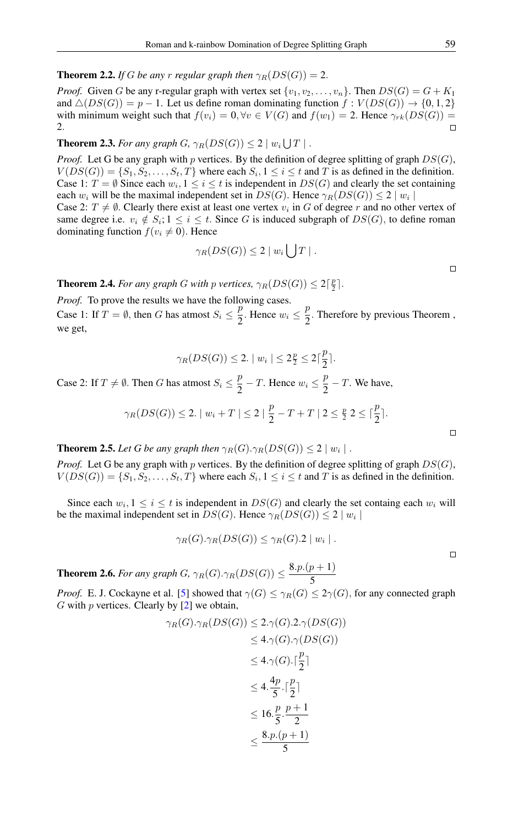**Theorem 2.2.** *If* G *be any* r *regular graph then*  $\gamma_R(DS(G)) = 2$ .

*Proof.* Given G be any r-regular graph with vertex set  $\{v_1, v_2, \ldots, v_n\}$ . Then  $DS(G) = G + K_1$ and  $\triangle(DS(G)) = p - 1$ . Let us define roman dominating function  $f: V(DS(G)) \rightarrow \{0, 1, 2\}$ with minimum weight such that  $f(v_i) = 0$ ,  $\forall v \in V(G)$  and  $f(w_1) = 2$ . Hence  $\gamma_{rk}(DS(G)) =$ 2.  $\Box$ 

## **Theorem 2.3.** For any graph  $G$ ,  $\gamma_R(DS(G)) \leq 2 \mid w_i \bigcup T \mid$ .

*Proof.* Let G be any graph with p vertices. By the definition of degree splitting of graph  $DS(G)$ ,  $V(DS(G)) = \{S_1, S_2, \ldots, S_t, T\}$  where each  $S_i, 1 \le i \le t$  and T is as defined in the definition. Case 1:  $T = \emptyset$  Since each  $w_i, 1 \le i \le t$  is independent in  $DS(G)$  and clearly the set containing each  $w_i$  will be the maximal independent set in  $DS(G)$ . Hence  $\gamma_R(DS(G)) \leq 2 \mid w_i \mid$ Case 2:  $T \neq \emptyset$ . Clearly there exist at least one vertex  $v_i$  in G of degree r and no other vertex of same degree i.e.  $v_i \notin S_i$ ;  $1 \leq i \leq t$ . Since G is induced subgraph of  $DS(G)$ , to define roman dominating function  $f(v_i \neq 0)$ . Hence

$$
\gamma_R(DS(G))\leq 2\mid w_i\bigcup T\mid.
$$

**Theorem 2.4.** *For any graph G with p vertices,*  $\gamma_R(DS(G)) \leq 2\lceil \frac{p}{2} \rceil$ *.* 

*Proof.* To prove the results we have the following cases.

Case 1: If  $T = \emptyset$ , then G has atmost  $S_i \leq \frac{p}{2}$  $\frac{p}{2}$ . Hence  $w_i \leq \frac{p}{2}$  $\frac{p}{2}$ . Therefore by previous Theorem, we get,

$$
\gamma_R(DS(G)) \le 2. \mid w_i \mid \le 2\frac{p}{2} \le 2\lceil \frac{p}{2} \rceil.
$$
  
Case 2: If  $T \ne \emptyset$ . Then G has atmost  $S_i \le \frac{p}{2} - T$ . Hence  $w_i \le \frac{p}{2} - T$ . We have,  

$$
\gamma_R(DS(G)) \le 2. \mid w_i + T \mid \le 2 \mid \frac{p}{2} - T + T \mid 2 \le \frac{p}{2} \le \lceil \frac{p}{2} \rceil.
$$

**Theorem 2.5.** Let G be any graph then  $\gamma_R(G) \cdot \gamma_R(DS(G)) \leq 2 \mid w_i \mid$ .

*Proof.* Let G be any graph with p vertices. By the definition of degree splitting of graph  $DS(G)$ ,  $V(DS(G)) = \{S_1, S_2, \ldots, S_t, T\}$  where each  $S_i, 1 \le i \le t$  and T is as defined in the definition.

Since each  $w_i, 1 \leq i \leq t$  is independent in  $DS(G)$  and clearly the set containg each  $w_i$  will be the maximal independent set in  $DS(G)$ . Hence  $\gamma_R(DS(G)) \leq 2 \mid w_i \mid$ 

$$
\gamma_R(G).\gamma_R(DS(G)) \leq \gamma_R(G).2 \mid w_i \mid.
$$

**Theorem 2.6.** For any graph G,  $\gamma_R(G) \cdot \gamma_R(DS(G)) \leq \frac{8 \cdot p \cdot (p+1)}{5}$ 5

*Proof.* E. J. Cockayne et al. [\[5\]](#page-5-3) showed that  $\gamma(G) \leq \gamma_R(G) \leq 2\gamma(G)$ , for any connected graph G with  $p$  vertices. Clearly by  $[2]$  we obtain,

$$
\gamma_R(G)\cdot\gamma_R(DS(G)) \le 2.\gamma(G).2.\gamma(DS(G))
$$
  
\n
$$
\le 4.\gamma(G).\gamma(DS(G))
$$
  
\n
$$
\le 4.\gamma(G).\lceil \frac{p}{2} \rceil
$$
  
\n
$$
\le 4.\frac{4p}{5}.\lceil \frac{p}{2} \rceil
$$
  
\n
$$
\le 16.\frac{p}{5}.\frac{p+1}{2}
$$
  
\n
$$
\le \frac{8.p.(p+1)}{5}
$$

 $\Box$ 

 $\Box$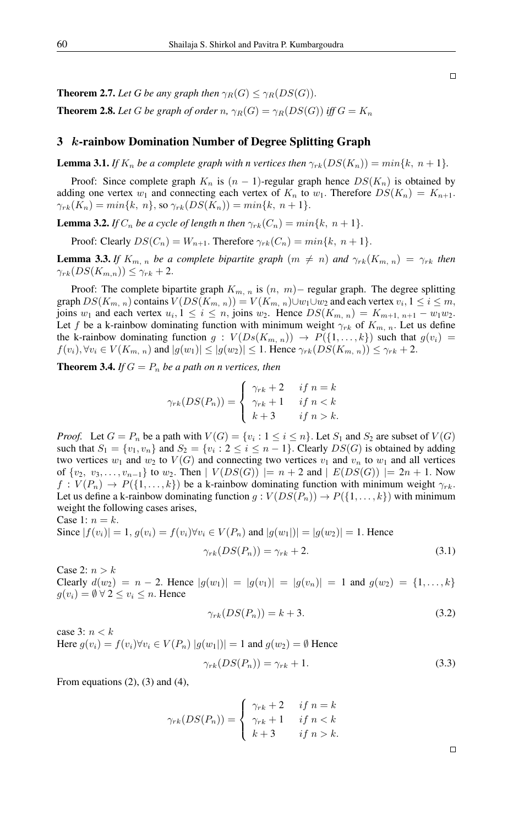**Theorem 2.7.** Let G be any graph then  $\gamma_B(G) < \gamma_B(DS(G))$ . **Theorem 2.8.** Let G be graph of order n,  $\gamma_R(G) = \gamma_R(DS(G))$  iff  $G = K_n$ 

### 3 k-rainbow Domination Number of Degree Splitting Graph

**Lemma 3.1.** *If*  $K_n$  *be a complete graph with n vertices then*  $\gamma_{rk}(DS(K_n)) = min\{k, n+1\}$ *.* 

Proof: Since complete graph  $K_n$  is  $(n - 1)$ -regular graph hence  $DS(K_n)$  is obtained by adding one vertex  $w_1$  and connecting each vertex of  $K_n$  to  $w_1$ . Therefore  $DS(K_n) = K_{n+1}$ .  $\gamma_{rk}(K_n) = min\{k, n\},$  so  $\gamma_{rk}(DS(K_n)) = min\{k, n+1\}.$ 

**Lemma 3.2.** *If*  $C_n$  *be a cycle of length n then*  $\gamma_{rk}(C_n) = min\{k, n+1\}$ .

Proof: Clearly  $DS(C_n) = W_{n+1}$ . Therefore  $\gamma_{rk}(C_n) = min\{k, n+1\}$ .

**Lemma 3.3.** *If*  $K_{m,n}$  *be a complete bipartite graph*  $(m \neq n)$  *and*  $\gamma_{rk}(K_{m,n}) = \gamma_{rk}$  *then*  $\gamma_{rk}(DS(K_{m,n})) \leq \gamma_{rk} + 2.$ 

Proof: The complete bipartite graph  $K_{m, n}$  is  $(n, m)$ – regular graph. The degree splitting graph  $DS(K_{m, n})$  contains  $V(DS(K_{m, n})) = V(K_{m, n}) \cup w_1 \cup w_2$  and each vertex  $v_i, 1 \leq i \leq m,$ joins  $w_1$  and each vertex  $u_i, 1 \le i \le n$ , joins  $w_2$ . Hence  $DS(K_{m, n}) = K_{m+1, n+1} - w_1w_2$ . Let f be a k-rainbow dominating function with minimum weight  $\gamma_{rk}$  of  $K_{m,n}$ . Let us define the k-rainbow dominating function  $g: V(Ds(K_{m,n})) \rightarrow P({1,\ldots,k})$  such that  $g(v_i) =$  $f(v_i), \forall v_i \in V(K_{m, n})$  and  $|g(w_1)| \leq |g(w_2)| \leq 1$ . Hence  $\gamma_{rk}(DS(K_{m, n})) \leq \gamma_{rk} + 2$ .

**Theorem 3.4.** *If*  $G = P_n$  *be a path on n vertices, then* 

$$
\gamma_{rk}(DS(P_n)) = \begin{cases} \gamma_{rk} + 2 & \text{if } n = k \\ \gamma_{rk} + 1 & \text{if } n < k \\ k + 3 & \text{if } n > k. \end{cases}
$$

*Proof.* Let  $G = P_n$  be a path with  $V(G) = \{v_i : 1 \le i \le n\}$ . Let  $S_1$  and  $S_2$  are subset of  $V(G)$ such that  $S_1 = \{v_1, v_n\}$  and  $S_2 = \{v_i : 2 \le i \le n - 1\}$ . Clearly  $DS(G)$  is obtained by adding two vertices  $w_1$  and  $w_2$  to  $V(G)$  and connecting two vertices  $v_1$  and  $v_n$  to  $w_1$  and all vertices of  $\{v_2, v_3, \ldots, v_{n-1}\}$  to  $w_2$ . Then  $|V(DS(G))| = n + 2$  and  $|E(DS(G))| = 2n + 1$ . Now  $f: V(P_n) \to P({1, \ldots, k})$  be a k-rainbow dominating function with minimum weight  $\gamma_{rk}$ . Let us define a k-rainbow dominating function  $g: V(DS(P_n)) \to P({1, \ldots, k})$  with minimum weight the following cases arises,

Case 1:  $n = k$ .

Since 
$$
|f(v_i)| = 1
$$
,  $g(v_i) = f(v_i) \forall v_i \in V(P_n)$  and  $|g(w_1)| = |g(w_2)| = 1$ . Hence  

$$
\gamma_{rk}(DS(P_n)) = \gamma_{rk} + 2.
$$
 (3.1)

Case 2:  $n > k$ Clearly  $d(w_2) = n - 2$ . Hence  $|g(w_1)| = |g(v_1)| = |g(v_n)| = 1$  and  $g(w_2) = \{1, ..., k\}$  $g(v_i) = \emptyset \ \forall \ 2 \leq v_i \leq n$ . Hence

$$
\gamma_{rk}(DS(P_n)) = k + 3. \tag{3.2}
$$

case 3:  $n < k$ Here  $g(v_i) = f(v_i) \forall v_i \in V(P_n) |g(w_1)| = 1$  and  $g(w_2) = \emptyset$  Hence

$$
\gamma_{rk}(DS(P_n)) = \gamma_{rk} + 1. \tag{3.3}
$$

From equations  $(2)$ ,  $(3)$  and  $(4)$ ,

$$
\gamma_{rk}(DS(P_n)) = \begin{cases} \gamma_{rk} + 2 & \text{if } n = k \\ \gamma_{rk} + 1 & \text{if } n < k \\ k + 3 & \text{if } n > k. \end{cases}
$$

 $\Box$ 

 $\Box$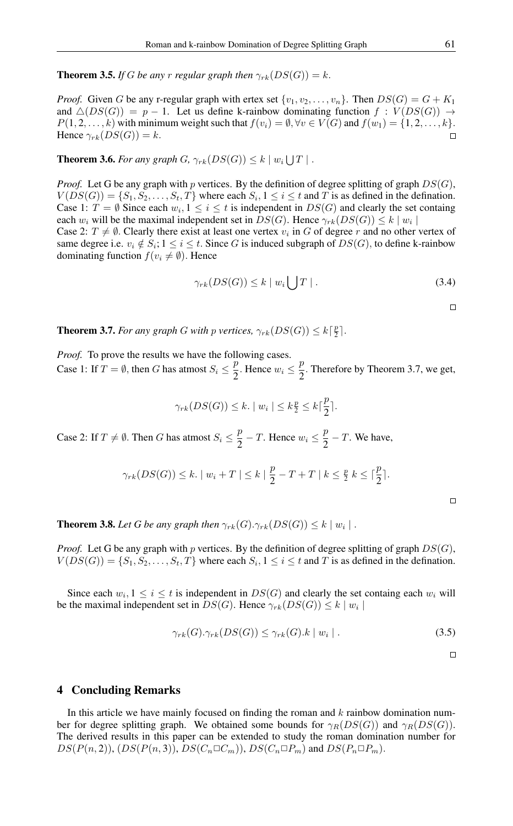**Theorem 3.5.** *If* G *be any* r *regular graph then*  $\gamma_{rk}(DS(G)) = k$ .

*Proof.* Given G be any r-regular graph with ertex set  $\{v_1, v_2, \ldots, v_n\}$ . Then  $DS(G) = G + K_1$ and  $\Delta(DS(G)) = p - 1$ . Let us define k-rainbow dominating function  $f : V(DS(G)) \rightarrow$  $P(1, 2, \ldots, k)$  with minimum weight such that  $f(v_i) = \emptyset, \forall v \in V(G)$  and  $f(w_1) = \{1, 2, \ldots, k\}.$ Hence  $\gamma_{rk}(DS(G)) = k$ .  $\Box$ 

**Theorem 3.6.** For any graph G,  $\gamma_{rk}(DS(G)) \leq k \mid w_i \bigcup T \mid$ .

*Proof.* Let G be any graph with p vertices. By the definition of degree splitting of graph  $DS(G)$ ,  $V(DS(G)) = \{S_1, S_2, \ldots, S_t, T\}$  where each  $S_i, 1 \leq i \leq t$  and T is as defined in the defination. Case 1:  $T = \emptyset$  Since each  $w_i, 1 \leq i \leq t$  is independent in  $DS(G)$  and clearly the set containg each  $w_i$  will be the maximal independent set in  $DS(G)$ . Hence  $\gamma_{rk}(DS(G)) \leq k \mid w_i \mid$ 

Case 2:  $T \neq \emptyset$ . Clearly there exist at least one vertex  $v_i$  in G of degree r and no other vertex of same degree i.e.  $v_i \notin S_i$ ;  $1 \le i \le t$ . Since G is induced subgraph of  $DS(G)$ , to define k-rainbow dominating function  $f(v_i \neq \emptyset)$ . Hence

$$
\gamma_{rk}(DS(G)) \le k \mid w_i \bigcup T \mid . \tag{3.4}
$$

 $\Box$ 

**Theorem 3.7.** *For any graph G with p vertices,*  $\gamma_{rk}(DS(G)) \leq k\lceil \frac{p}{2} \rceil$ *.* 

*Proof.* To prove the results we have the following cases. Case 1: If  $T = \emptyset$ , then G has atmost  $S_i \leq \frac{p}{2}$  $\frac{p}{2}$ . Hence  $w_i \leq \frac{p}{2}$  $\frac{p}{2}$ . Therefore by Theorem 3.7, we get,

$$
\gamma_{rk}(DS(G)) \leq k. \mid w_i \mid \leq k \frac{p}{2} \leq k \lceil \frac{p}{2} \rceil.
$$

Case 2: If  $T \neq \emptyset$ . Then G has atmost  $S_i \leq \frac{p}{2}$  $\frac{p}{2}$  – T. Hence  $w_i \leq \frac{p}{2}$  $\frac{P}{2} - T$ . We have,

$$
\gamma_{rk}(DS(G)) \leq k. \mid w_i + T \mid \leq k \mid \frac{p}{2} - T + T \mid k \leq \frac{p}{2} \mid k \leq \lceil \frac{p}{2} \rceil.
$$

**Theorem 3.8.** Let G be any graph then  $\gamma_{rk}(G) \cdot \gamma_{rk}(DS(G)) \leq k \mid w_i \mid$ .

*Proof.* Let G be any graph with p vertices. By the definition of degree splitting of graph  $DS(G)$ ,  $V(DS(G)) = \{S_1, S_2, \ldots, S_t, T\}$  where each  $S_i, 1 \le i \le t$  and T is as defined in the defination.

Since each  $w_i, 1 \leq i \leq t$  is independent in  $DS(G)$  and clearly the set containg each  $w_i$  will be the maximal independent set in  $DS(G)$ . Hence  $\gamma_{rk}(DS(G)) \leq k \mid w_i \mid$ 

$$
\gamma_{rk}(G).\gamma_{rk}(DS(G)) \leq \gamma_{rk}(G).k \mid w_i \mid . \tag{3.5}
$$

 $\Box$ 

 $\Box$ 

#### 4 Concluding Remarks

In this article we have mainly focused on finding the roman and  $k$  rainbow domination number for degree splitting graph. We obtained some bounds for  $\gamma_R(DS(G))$  and  $\gamma_R(DS(G))$ . The derived results in this paper can be extended to study the roman domination number for  $DS(P(n, 2)), (DS(P(n, 3)), DS(C_n \Box C_m)), DS(C_n \Box P_m)$  and  $DS(P_n \Box P_m)$ .